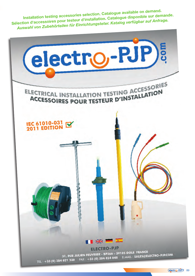**Installation testing accessories selection. Catalogue available on demand. Sélection d'accessoires pour testeur d'installation. Catalogue disponible sur demande.** *Auswahl von Zubehörteilen für Einrichtungsteter. Katalog verfügbar auf Anfrage.*

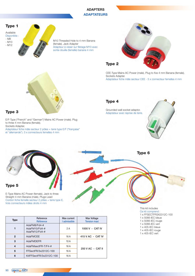# **ADAPTERS ADAPTATEURS**



M10 Threaded Hole to 4 mm Banana (female). Jack Adapter Adapteur à visser sur filetage M10 avec sortie douille (femelle) banane 4 mm



CEE-Type Mains AC Power (male). Plug to five 4 mm Banana (female). Sockets Adapter. Adaptateur fiche mâle secteur CEE - 5 x connecteur femelles 4 mm

# Type 4

Grounded wall socket adaptor. Adaptateur avec reprise de terre.





E/F-Type ("French" and "German") Mains AC Power (male). Plug to three 4 mm Banana (female). Sockets Adapter. Adaptateur fiche mâle secteur 2 pôles + terre type E/F ("française"

et "allemande"). 3 x connecteurs femelles 4 mm



E-Type Mains AC Power (female). Jack to three Straight 4 mm Banana (male). Plugs Lead Cordon fiche femelle secteur 2 pôles + terre type E, trois connecteurs mâles droits 4 mm

| <b>Type</b>    | Reference<br>Référence                         | Max current<br>I admissible | <b>Max Voltage</b><br><b>Tension maxi</b> |
|----------------|------------------------------------------------|-----------------------------|-------------------------------------------|
|                | AdaFM8/Fd4-#<br>AdaFM10/Fd4-#<br>AdaFM12/Fd4-# | 2A                          | 1000 V - CAT IV                           |
| $\overline{2}$ | AdaFMCEE                                       | 16 A                        | 415 V AC - CAT IV                         |
| 3              | AdaFMDEFR                                      | 10A                         |                                           |
| 4              | AdaFMsectFR-T/F4-#                             | 16 A                        | 250 V AC - CAT II                         |
| 5              | FFSectFR/3x2312C-100                           | 16 A                        |                                           |
| 6              | KitFFSectFR/3x2312C-100                        | 16 A                        |                                           |

### This kit includes

Type 6

Ce kit comprend : 1 x FFSECTFR3X2312C-100

- 1 x 5066-IEC bleue
- 1 x 5066-IEC rouge
- 1 x 5066-IEC vert
- 1 x 405-IEC bleue
- 1 x 405-IEC rouge
- 1 x 405-IEC vert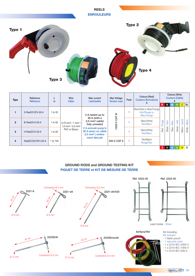### **REELS ENROULEURS**



| Type           | Reference<br><b>Référence</b> | m        | Wire<br>Câble                                                                                                 | Max current<br>I admissible                                                                                                                                     | Max Voltage<br><b>Tension maxi</b> | Pack | Colours (Reel)<br><b>Couleurs (Enrouleurs)</b>                  | Colours (Wire)<br><b>Couleurs (Câble)</b> |                           |       |              |                |        |       |       |
|----------------|-------------------------------|----------|---------------------------------------------------------------------------------------------------------------|-----------------------------------------------------------------------------------------------------------------------------------------------------------------|------------------------------------|------|-----------------------------------------------------------------|-------------------------------------------|---------------------------|-------|--------------|----------------|--------|-------|-------|
|                |                               |          |                                                                                                               |                                                                                                                                                                 | R                                  | N.   | -BI                                                             |                                           | J                         | Bc    |              |                |        |       |       |
|                | X-Reel2310F4-30-#             | 1 to 33  |                                                                                                               | 2 A reeled up to<br>36 A (with a<br>2,5 mm <sup>2</sup> cable)<br>fully unreeled<br>2 A enroulé jusqu'à<br>36 A (avec un câble<br>2,5 mm <sup>2</sup> ) entère- | ≡                                  |      | Black/Red or Blue/Orange<br>Noir/Rouge ou<br><b>Bleu/Orange</b> |                                           |                           |       |              |                |        |       |       |
| $\overline{2}$ | B-Reel2310-50-#               | 1 to 50  | $0.75$ mm <sup>2</sup> / 1 mm <sup>2</sup> /<br>$1.5$ mm <sup>2</sup> / 2.5 mm <sup>2</sup><br>PVC or Silicon |                                                                                                                                                                 |                                    |      | <b>RO</b><br>1000'                                              |                                           | Black/White<br>Noir/Blanc | Rouge | Black - Noir | Bleu           | Vert   | Jaune | Blanc |
| 3              | H-Reel2310-50-#               | 1 to 50  |                                                                                                               |                                                                                                                                                                 |                                    |      | Black/White<br>Noir/Blanc                                       | Red                                       |                           | Blue- | Green-       | Yellow -       | White- |       |       |
| $\overline{4}$ | ReelECO2310F4-50-#            | 1 to 150 |                                                                                                               | ment déroulé                                                                                                                                                    | <b>250 V CAT II</b>                |      | Red/Black<br>Rouge/Noir                                         |                                           |                           |       |              |                |        |       |       |
|                |                               |          |                                                                                                               |                                                                                                                                                                 |                                    |      |                                                                 | $\overline{2}$                            | $\mathbf{0}$              | 6.    | <b>57</b>    | 4 <sup>1</sup> | 9      |       |       |

# **GROUND RODS and GROUND TESTING KIT PIQUET DE TERRE et KIT DE MESURE DE TERRE**



electro-RJP 91